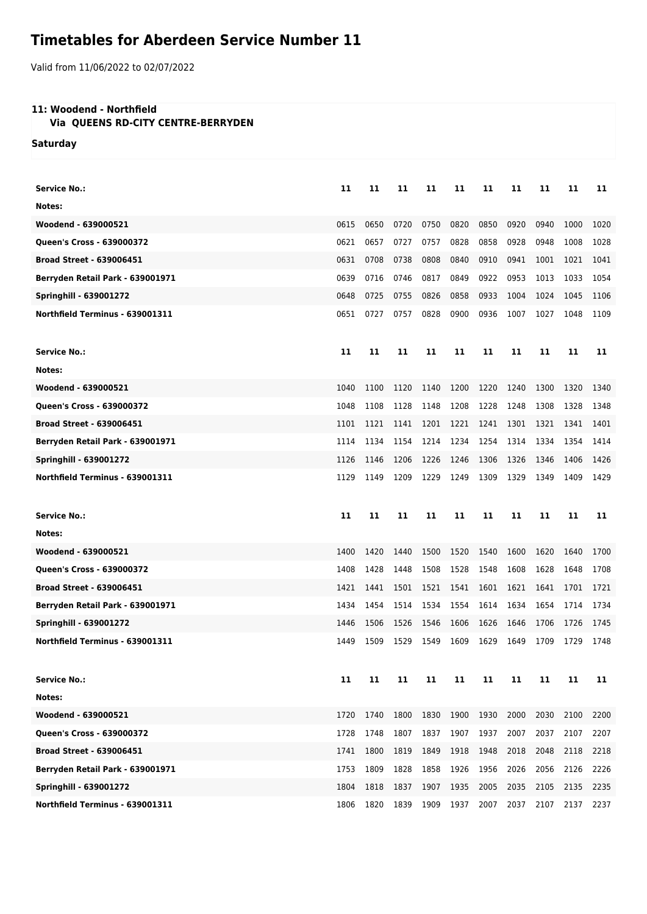## **Timetables for Aberdeen Service Number 11**

Valid from 11/06/2022 to 02/07/2022

## **11: Woodend - Northfield**

 **Via QUEENS RD-CITY CENTRE-BERRYDEN**

**Saturday**

| <b>Service No.:</b>              | 11   | 11   | 11   | 11   | 11   | 11   | 11   | 11   | 11   | 11   |
|----------------------------------|------|------|------|------|------|------|------|------|------|------|
| Notes:                           |      |      |      |      |      |      |      |      |      |      |
| Woodend - 639000521              | 0615 | 0650 | 0720 | 0750 | 0820 | 0850 | 0920 | 0940 | 1000 | 1020 |
| <b>Queen's Cross - 639000372</b> | 0621 | 0657 | 0727 | 0757 | 0828 | 0858 | 0928 | 0948 | 1008 | 1028 |
| <b>Broad Street - 639006451</b>  | 0631 | 0708 | 0738 | 0808 | 0840 | 0910 | 0941 | 1001 | 1021 | 1041 |
| Berryden Retail Park - 639001971 | 0639 | 0716 | 0746 | 0817 | 0849 | 0922 | 0953 | 1013 | 1033 | 1054 |
| <b>Springhill - 639001272</b>    | 0648 | 0725 | 0755 | 0826 | 0858 | 0933 | 1004 | 1024 | 1045 | 1106 |
| Northfield Terminus - 639001311  | 0651 | 0727 | 0757 | 0828 | 0900 | 0936 | 1007 | 1027 | 1048 | 1109 |
| <b>Service No.:</b>              | 11   | 11   | 11   | 11   | 11   | 11   | 11   | 11   | 11   | 11   |
| Notes:                           |      |      |      |      |      |      |      |      |      |      |
| Woodend - 639000521              | 1040 | 1100 | 1120 | 1140 | 1200 | 1220 | 1240 | 1300 | 1320 | 1340 |
| Queen's Cross - 639000372        | 1048 | 1108 | 1128 | 1148 | 1208 | 1228 | 1248 | 1308 | 1328 | 1348 |
| <b>Broad Street - 639006451</b>  | 1101 | 1121 | 1141 | 1201 | 1221 | 1241 | 1301 | 1321 | 1341 | 1401 |
| Berryden Retail Park - 639001971 | 1114 | 1134 | 1154 | 1214 | 1234 | 1254 | 1314 | 1334 | 1354 | 1414 |
| <b>Springhill - 639001272</b>    | 1126 | 1146 | 1206 | 1226 | 1246 | 1306 | 1326 | 1346 | 1406 | 1426 |
| Northfield Terminus - 639001311  | 1129 | 1149 | 1209 | 1229 | 1249 | 1309 | 1329 | 1349 | 1409 | 1429 |
|                                  |      |      |      |      |      |      |      |      |      |      |
| <b>Service No.:</b>              | 11   | 11   | 11   | 11   | 11   | 11   | 11   | 11   | 11   | 11   |
| Notes:                           |      |      |      |      |      |      |      |      |      |      |
| Woodend - 639000521              | 1400 | 1420 | 1440 | 1500 | 1520 | 1540 | 1600 | 1620 | 1640 | 1700 |
| Queen's Cross - 639000372        | 1408 | 1428 | 1448 | 1508 | 1528 | 1548 | 1608 | 1628 | 1648 | 1708 |
| <b>Broad Street - 639006451</b>  | 1421 | 1441 | 1501 | 1521 | 1541 | 1601 | 1621 | 1641 | 1701 | 1721 |
| Berryden Retail Park - 639001971 | 1434 | 1454 | 1514 | 1534 | 1554 | 1614 | 1634 | 1654 | 1714 | 1734 |
| <b>Springhill - 639001272</b>    | 1446 | 1506 | 1526 | 1546 | 1606 | 1626 | 1646 | 1706 | 1726 | 1745 |
| Northfield Terminus - 639001311  | 1449 | 1509 | 1529 | 1549 | 1609 | 1629 | 1649 | 1709 | 1729 | 1748 |
| <b>Service No.:</b>              | 11   | 11   | 11   | 11   | 11   | 11   | 11   | 11   | 11   | 11   |
| Notes:                           |      |      |      |      |      |      |      |      |      |      |
| Woodend - 639000521              | 1720 | 1740 | 1800 | 1830 | 1900 | 1930 | 2000 | 2030 | 2100 | 2200 |
| Queen's Cross - 639000372        | 1728 | 1748 | 1807 | 1837 | 1907 | 1937 | 2007 | 2037 | 2107 | 2207 |
| <b>Broad Street - 639006451</b>  | 1741 | 1800 | 1819 | 1849 | 1918 | 1948 | 2018 | 2048 | 2118 | 2218 |
| Berryden Retail Park - 639001971 | 1753 | 1809 | 1828 | 1858 | 1926 | 1956 | 2026 | 2056 | 2126 | 2226 |
| <b>Springhill - 639001272</b>    | 1804 | 1818 | 1837 | 1907 | 1935 | 2005 | 2035 | 2105 | 2135 | 2235 |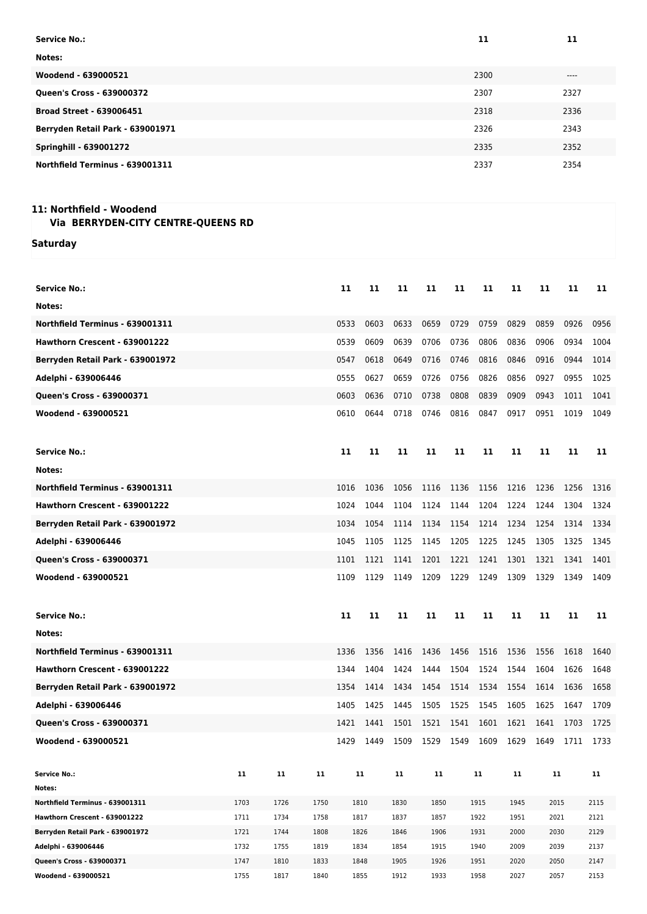| <b>Service No.:</b>              | 11   | 11     |
|----------------------------------|------|--------|
| Notes:                           |      |        |
| Woodend - 639000521              | 2300 | $-- -$ |
| Queen's Cross - 639000372        | 2307 | 2327   |
| <b>Broad Street - 639006451</b>  | 2318 | 2336   |
| Berryden Retail Park - 639001971 | 2326 | 2343   |
| <b>Springhill - 639001272</b>    | 2335 | 2352   |
| Northfield Terminus - 639001311  | 2337 | 2354   |

## **11: Northfield - Woodend Via BERRYDEN-CITY CENTRE-QUEENS RD**

**Saturday**

| <b>Service No.:</b>                                              |              |              |              | 11   | 11           | 11           | 11           | 11   | 11           | 11           | 11           | 11   | 11           |
|------------------------------------------------------------------|--------------|--------------|--------------|------|--------------|--------------|--------------|------|--------------|--------------|--------------|------|--------------|
| Notes:                                                           |              |              |              |      |              |              |              |      |              |              |              |      |              |
| Northfield Terminus - 639001311                                  |              |              |              | 0533 | 0603         | 0633         | 0659         | 0729 | 0759         | 0829         | 0859         | 0926 | 0956         |
| Hawthorn Crescent - 639001222                                    |              |              |              | 0539 | 0609         | 0639         | 0706         | 0736 | 0806         | 0836         | 0906         | 0934 | 1004         |
| Berryden Retail Park - 639001972                                 |              |              |              | 0547 | 0618         | 0649         | 0716         | 0746 | 0816         | 0846         | 0916         | 0944 | 1014         |
| Adelphi - 639006446                                              |              |              |              | 0555 | 0627         | 0659         | 0726         | 0756 | 0826         | 0856         | 0927         | 0955 | 1025         |
| Queen's Cross - 639000371                                        |              |              |              | 0603 | 0636         | 0710         | 0738         | 0808 | 0839         | 0909         | 0943         | 1011 | 1041         |
| Woodend - 639000521                                              |              |              |              | 0610 | 0644         | 0718         | 0746         | 0816 | 0847         | 0917         | 0951         | 1019 | 1049         |
|                                                                  |              |              |              |      |              |              |              |      |              |              |              |      |              |
| <b>Service No.:</b>                                              |              |              |              | 11   | 11           | 11           | 11           | 11   | 11           | 11           | 11           | 11   | 11           |
|                                                                  |              |              |              |      |              |              |              |      |              |              |              |      |              |
| Notes:                                                           |              |              |              |      |              |              |              |      |              |              |              |      |              |
| Northfield Terminus - 639001311                                  |              |              |              | 1016 | 1036         | 1056         | 1116         | 1136 | 1156         | 1216         | 1236         | 1256 | 1316         |
| Hawthorn Crescent - 639001222                                    |              |              |              | 1024 | 1044         | 1104         | 1124         | 1144 | 1204         | 1224         | 1244         | 1304 | 1324         |
| Berryden Retail Park - 639001972                                 |              |              |              | 1034 | 1054         | 1114         | 1134         | 1154 | 1214         | 1234         | 1254         | 1314 | 1334         |
| Adelphi - 639006446                                              |              |              |              | 1045 | 1105         | 1125         | 1145         | 1205 | 1225         | 1245         | 1305         | 1325 | 1345         |
| Queen's Cross - 639000371                                        |              |              |              | 1101 | 1121         | 1141         | 1201         | 1221 | 1241         | 1301         | 1321         | 1341 | 1401         |
| Woodend - 639000521                                              |              |              |              | 1109 | 1129         | 1149         | 1209         | 1229 | 1249         | 1309         | 1329         | 1349 | 1409         |
|                                                                  |              |              |              |      |              |              |              |      |              |              |              |      |              |
| <b>Service No.:</b>                                              |              |              |              | 11   | 11           | 11           | 11           | 11   | 11           | 11           | 11           | 11   | 11           |
| Notes:                                                           |              |              |              |      |              |              |              |      |              |              |              |      |              |
| Northfield Terminus - 639001311                                  |              |              |              | 1336 | 1356         | 1416         | 1436         | 1456 | 1516         | 1536         | 1556         | 1618 | 1640         |
|                                                                  |              |              |              | 1344 |              |              |              |      |              | 1544         | 1604         |      | 1648         |
| Hawthorn Crescent - 639001222                                    |              |              |              |      | 1404         | 1424         | 1444         | 1504 | 1524         |              |              | 1626 |              |
| Berryden Retail Park - 639001972                                 |              |              |              | 1354 | 1414         | 1434         | 1454         | 1514 | 1534         | 1554         | 1614         | 1636 | 1658         |
| Adelphi - 639006446                                              |              |              |              | 1405 | 1425         | 1445         | 1505         | 1525 | 1545         | 1605         | 1625         | 1647 | 1709         |
| Queen's Cross - 639000371                                        |              |              |              | 1421 | 1441         | 1501         | 1521         | 1541 | 1601         | 1621         | 1641         | 1703 | 1725         |
| Woodend - 639000521                                              |              |              |              | 1429 | 1449         | 1509         | 1529         | 1549 | 1609         | 1629         | 1649         | 1711 | 1733         |
|                                                                  |              |              |              |      |              |              |              |      |              |              |              |      |              |
| Service No.:                                                     | 11           | 11           | 11           |      | 11           | 11           | 11           |      | 11           | 11           | 11           |      | 11           |
| Notes:                                                           |              |              |              |      |              |              |              |      |              |              |              |      |              |
| Northfield Terminus - 639001311<br>Hawthorn Crescent - 639001222 | 1703<br>1711 | 1726<br>1734 | 1750         |      | 1810         | 1830         | 1850<br>1857 |      | 1915         | 1945<br>1951 | 2015         |      | 2115<br>2121 |
| Berryden Retail Park - 639001972                                 | 1721         | 1744         | 1758<br>1808 |      | 1817<br>1826 | 1837<br>1846 | 1906         |      | 1922<br>1931 | 2000         | 2021<br>2030 |      | 2129         |
| Adelphi - 639006446                                              | 1732         | 1755         | 1819         |      | 1834         | 1854         | 1915         |      | 1940         | 2009         | 2039         |      | 2137         |
| Queen's Cross - 639000371                                        | 1747         | 1810         | 1833         |      | 1848         | 1905         | 1926         |      | 1951         | 2020         | 2050         |      | 2147         |
| Woodend - 639000521                                              | 1755         | 1817         | 1840         |      | 1855         | 1912         | 1933         |      | 1958         | 2027         | 2057         |      | 2153         |